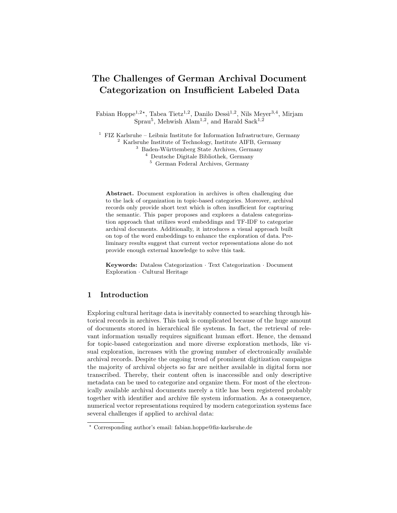# The Challenges of German Archival Document Categorization on Insufficient Labeled Data

Fabian Hoppe<sup>1,2\*</sup>, Tabea Tietz<sup>1,2</sup>, Danilo Dessì<sup>1,2</sup>, Nils Meyer<sup>3,4</sup>, Mirjam Sprau<sup>5</sup>, Mehwish Alam<sup>1,2</sup>, and Harald Sack<sup>1,2</sup>

<sup>1</sup> FIZ Karlsruhe – Leibniz Institute for Information Infrastructure, Germany <sup>2</sup> Karlsruhe Institute of Technology, Institute AIFB, Germany <sup>3</sup> Baden-Württemberg State Archives, Germany

<sup>4</sup> Deutsche Digitale Bibliothek, Germany

<sup>5</sup> German Federal Archives, Germany

Abstract. Document exploration in archives is often challenging due to the lack of organization in topic-based categories. Moreover, archival records only provide short text which is often insufficient for capturing the semantic. This paper proposes and explores a dataless categorization approach that utilizes word embeddings and TF-IDF to categorize archival documents. Additionally, it introduces a visual approach built on top of the word embeddings to enhance the exploration of data. Preliminary results suggest that current vector representations alone do not provide enough external knowledge to solve this task.

Keywords: Dataless Categorization · Text Categorization · Document Exploration · Cultural Heritage

### 1 Introduction

Exploring cultural heritage data is inevitably connected to searching through historical records in archives. This task is complicated because of the huge amount of documents stored in hierarchical file systems. In fact, the retrieval of relevant information usually requires significant human effort. Hence, the demand for topic-based categorization and more diverse exploration methods, like visual exploration, increases with the growing number of electronically available archival records. Despite the ongoing trend of prominent digitization campaigns the majority of archival objects so far are neither available in digital form nor transcribed. Thereby, their content often is inaccessible and only descriptive metadata can be used to categorize and organize them. For most of the electronically available archival documents merely a title has been registered probably together with identifier and archive file system information. As a consequence, numerical vector representations required by modern categorization systems face several challenges if applied to archival data:

<sup>?</sup> Corresponding author's email: fabian.hoppe@fiz-karlsruhe.de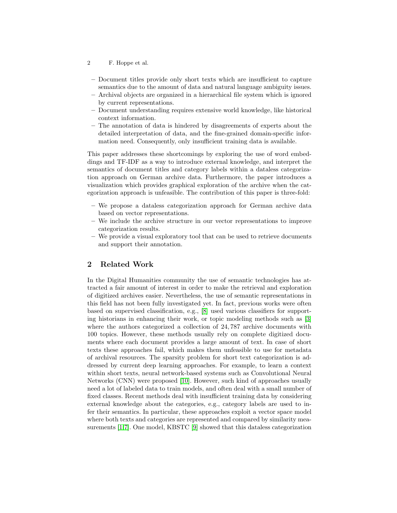- 2 F. Hoppe et al.
- Document titles provide only short texts which are insufficient to capture semantics due to the amount of data and natural language ambiguity issues.
- Archival objects are organized in a hierarchical file system which is ignored by current representations.
- Document understanding requires extensive world knowledge, like historical context information.
- The annotation of data is hindered by disagreements of experts about the detailed interpretation of data, and the fine-grained domain-specific information need. Consequently, only insufficient training data is available.

This paper addresses these shortcomings by exploring the use of word embeddings and TF-IDF as a way to introduce external knowledge, and interpret the semantics of document titles and category labels within a dataless categorization approach on German archive data. Furthermore, the paper introduces a visualization which provides graphical exploration of the archive when the categorization approach is unfeasible. The contribution of this paper is three-fold:

- We propose a dataless categorization approach for German archive data based on vector representations.
- We include the archive structure in our vector representations to improve categorization results.
- We provide a visual exploratory tool that can be used to retrieve documents and support their annotation.

## 2 Related Work

In the Digital Humanities community the use of semantic technologies has attracted a fair amount of interest in order to make the retrieval and exploration of digitized archives easier. Nevertheless, the use of semantic representations in this field has not been fully investigated yet. In fact, previous works were often based on supervised classification, e.g., [\[8\]](#page-5-0) used various classifiers for supporting historians in enhancing their work, or topic modeling methods such as [\[3\]](#page-5-1) where the authors categorized a collection of 24, 787 archive documents with 100 topics. However, these methods usually rely on complete digitized documents where each document provides a large amount of text. In case of short texts these approaches fail, which makes them unfeasible to use for metadata of archival resources. The sparsity problem for short text categorization is addressed by current deep learning approaches. For example, to learn a context within short texts, neural network-based systems such as Convolutional Neural Networks (CNN) were proposed [\[10\]](#page-5-2). However, such kind of approaches usually need a lot of labeled data to train models, and often deal with a small number of fixed classes. Recent methods deal with insufficient training data by considering external knowledge about the categories, e.g., category labels are used to infer their semantics. In particular, these approaches exploit a vector space model where both texts and categories are represented and compared by similarity measurements [\[1,](#page-5-3)[7\]](#page-5-4). One model, KBSTC [\[9\]](#page-5-5) showed that this dataless categorization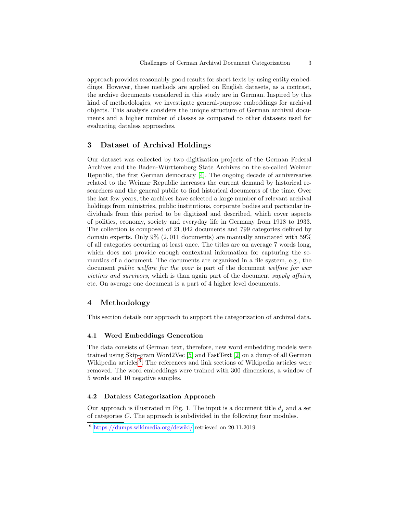approach provides reasonably good results for short texts by using entity embeddings. However, these methods are applied on English datasets, as a contrast, the archive documents considered in this study are in German. Inspired by this kind of methodologies, we investigate general-purpose embeddings for archival objects. This analysis considers the unique structure of German archival documents and a higher number of classes as compared to other datasets used for evaluating dataless approaches.

#### 3 Dataset of Archival Holdings

Our dataset was collected by two digitization projects of the German Federal Archives and the Baden-Württemberg State Archives on the so-called Weimar Republic, the first German democracy [\[4\]](#page-5-6). The ongoing decade of anniversaries related to the Weimar Republic increases the current demand by historical researchers and the general public to find historical documents of the time. Over the last few years, the archives have selected a large number of relevant archival holdings from ministries, public institutions, corporate bodies and particular individuals from this period to be digitized and described, which cover aspects of politics, economy, society and everyday life in Germany from 1918 to 1933. The collection is composed of 21, 042 documents and 799 categories defined by domain experts. Only 9% (2, 011 documents) are manually annotated with 59% of all categories occurring at least once. The titles are on average 7 words long, which does not provide enough contextual information for capturing the semantics of a document. The documents are organized in a file system, e.g., the document public welfare for the poor is part of the document welfare for war victims and survivors, which is than again part of the document supply affairs, etc. On average one document is a part of 4 higher level documents.

## 4 Methodology

This section details our approach to support the categorization of archival data.

#### 4.1 Word Embeddings Generation

The data consists of German text, therefore, new word embedding models were trained using Skip-gram Word2Vec [\[5\]](#page-5-7) and FastText [\[2\]](#page-5-8) on a dump of all German Wikipedia articles<sup>[6](#page-2-0)</sup>. The references and link sections of Wikipedia articles were removed. The word embeddings were trained with 300 dimensions, a window of 5 words and 10 negative samples.

#### 4.2 Dataless Categorization Approach

Our approach is illustrated in Fig. 1. The input is a document title  $d_i$  and a set of categories C. The approach is subdivided in the following four modules.

<span id="page-2-0"></span><sup>6</sup> <https://dumps.wikimedia.org/dewiki/> retrieved on 20.11.2019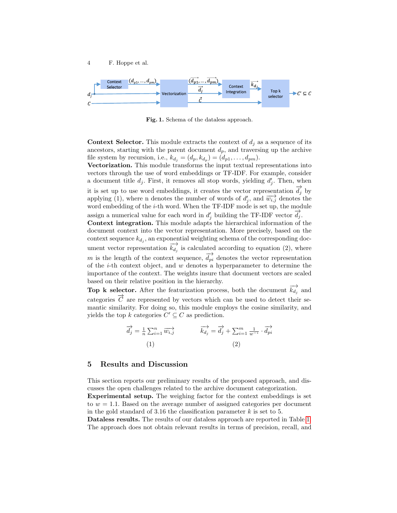

Fig. 1. Schema of the dataless approach.

**Context Selector.** This module extracts the context of  $d_j$  as a sequence of its ancestors, starting with the parent document  $d_p$ , and traversing up the archive file system by recursion, i.e.,  $k_{d_j} = (d_p, k_{d_p}) = (d_{p1}, \ldots, d_{pm}).$ 

Vectorization. This module transforms the input textual representations into vectors through the use of word embeddings or TF-IDF. For example, consider a document title  $d_j$ . First, it removes all stop words, yielding  $d'_j$ . Then, when it is set up to use word embeddings, it creates the vector representation  $\overrightarrow{d_j}$  by applying (1), where n denotes the number of words of  $d'_j$ , and  $\overrightarrow{w_{i,j}}$  denotes the word embedding of the  $i$ -th word. When the TF-IDF mode is set up, the module assign a numerical value for each word in  $d'_j$  building the TF-IDF vector  $\overrightarrow{d}_j$ .

Context integration. This module adapts the hierarchical information of the document context into the vector representation. More precisely, based on the context sequence  $k_{d_j}$ , an exponential weighting schema of the corresponding document vector representation  $\overrightarrow{k_{d_j}}$  is calculated according to equation (2), where <br>m is the length of the context sequence,  $\overrightarrow{d_{pi}}$  denotes the vector representation of the  $i$ -th context object, and  $w$  denotes a hyperparameter to determine the importance of the context. The weights insure that document vectors are scaled based on their relative position in the hierarchy.

**Top k selector.** After the featurization process, both the document  $\overrightarrow{k_d}$  and categories  $\overrightarrow{C}$  are represented by vectors which can be used to detect their semantic similarity. For doing so, this module employs the cosine similarity, and yields the top k categories  $C' \subseteq C$  as prediction.

$$
\overrightarrow{d_j} = \frac{1}{n} \sum_{i=1}^n \overrightarrow{w_{i,j}} \qquad \qquad \overrightarrow{k_{d_j}} = \overrightarrow{d_j} + \sum_{i=1}^m \frac{1}{w^{-i}} \cdot \overrightarrow{d_{pi}}
$$
\n
$$
(1) \qquad (2)
$$

#### 5 Results and Discussion

This section reports our preliminary results of the proposed approach, and discusses the open challenges related to the archive document categorization.

Experimental setup. The weighing factor for the context embeddings is set to  $w = 1.1$ . Based on the average number of assigned categories per document in the gold standard of 3.16 the classification parameter  $k$  is set to 5.

Dataless results. The results of our dataless approach are reported in Table [1.](#page-4-0) The approach does not obtain relevant results in terms of precision, recall, and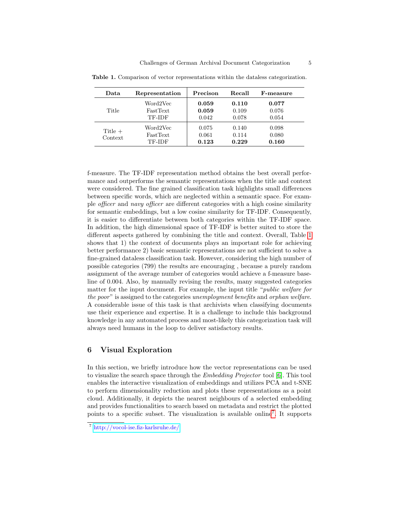| Data                 | Representation                        | Precison                | Recall                  | <b>F-measure</b>        |
|----------------------|---------------------------------------|-------------------------|-------------------------|-------------------------|
| Title                | Word2Vec<br>FastText<br>TF-IDF        | 0.059<br>0.059<br>0.042 | 0.110<br>0.109<br>0.078 | 0.077<br>0.076<br>0.054 |
| Title $+$<br>Context | Word2Vec<br><b>FastText</b><br>TF-IDF | 0.075<br>0.061<br>0.123 | 0.140<br>0.114<br>0.229 | 0.098<br>0.080<br>0.160 |

<span id="page-4-0"></span>Table 1. Comparison of vector representations within the dataless categorization.

f-measure. The TF-IDF representation method obtains the best overall performance and outperforms the semantic representations when the title and context were considered. The fine grained classification task highlights small differences between specific words, which are neglected within a semantic space. For example officer and navy officer are different categories with a high cosine similarity for semantic embeddings, but a low cosine similarity for TF-IDF. Consequently, it is easier to differentiate between both categories within the TF-IDF space. In addition, the high dimensional space of TF-IDF is better suited to store the different aspects gathered by combining the title and context. Overall, Table [1](#page-4-0) shows that 1) the context of documents plays an important role for achieving better performance 2) basic semantic representations are not sufficient to solve a fine-grained dataless classification task. However, considering the high number of possible categories (799) the results are encouraging , because a purely random assignment of the average number of categories would achieve a f-measure baseline of 0.004. Also, by manually revising the results, many suggested categories matter for the input document. For example, the input title "public welfare for the poor" is assigned to the categories unemployment benefits and orphan welfare. A considerable issue of this task is that archivists when classifying documents use their experience and expertise. It is a challenge to include this background knowledge in any automated process and most-likely this categorization task will always need humans in the loop to deliver satisfactory results.

## 6 Visual Exploration

In this section, we briefly introduce how the vector representations can be used to visualize the search space through the Embedding Projector tool [\[6\]](#page-5-9). This tool enables the interactive visualization of embeddings and utilizes PCA and t-SNE to perform dimensionality reduction and plots these representations as a point cloud. Additionally, it depicts the nearest neighbours of a selected embedding and provides functionalities to search based on metadata and restrict the plotted points to a specific subset. The visualization is available online[7](#page-4-1) . It supports

<span id="page-4-1"></span><sup>7</sup> <http://vocol-ise.fiz-karlsruhe.de/>